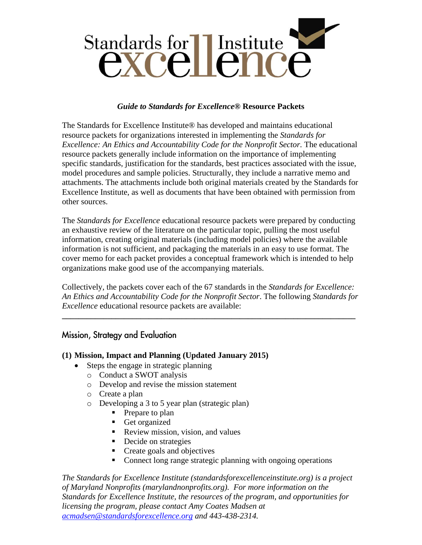

#### *Guide to Standards for Excellence***® Resource Packets**

The Standards for Excellence Institute® has developed and maintains educational resource packets for organizations interested in implementing the *Standards for Excellence: An Ethics and Accountability Code for the Nonprofit Sector.* The educational resource packets generally include information on the importance of implementing specific standards, justification for the standards, best practices associated with the issue, model procedures and sample policies. Structurally, they include a narrative memo and attachments. The attachments include both original materials created by the Standards for Excellence Institute, as well as documents that have been obtained with permission from other sources.

The *Standards for Excellence* educational resource packets were prepared by conducting an exhaustive review of the literature on the particular topic, pulling the most useful information, creating original materials (including model policies) where the available information is not sufficient, and packaging the materials in an easy to use format. The cover memo for each packet provides a conceptual framework which is intended to help organizations make good use of the accompanying materials.

Collectively, the packets cover each of the 67 standards in the *Standards for Excellence: An Ethics and Accountability Code for the Nonprofit Sector*. The following *Standards for Excellence* educational resource packets are available:

**\_\_\_\_\_\_\_\_\_\_\_\_\_\_\_\_\_\_\_\_\_\_\_\_\_\_\_\_\_\_\_\_\_\_\_\_\_\_\_\_\_\_\_\_\_\_\_\_\_\_\_\_\_\_\_\_\_\_\_\_\_\_\_\_\_\_\_\_\_\_\_**

## Mission, Strategy and Evaluation

### **(1) Mission, Impact and Planning (Updated January 2015)**

- Steps the engage in strategic planning
	- o Conduct a SWOT analysis
	- o Develop and revise the mission statement
	- o Create a plan
	- o Developing a 3 to 5 year plan (strategic plan)
		- Prepare to plan
		- Get organized
		- Review mission, vision, and values
		- Decide on strategies
		- Create goals and objectives
		- Connect long range strategic planning with ongoing operations

*The Standards for Excellence Institute (standardsforexcellenceinstitute.org) is a project of Maryland Nonprofits (marylandnonprofits.org). For more information on the Standards for Excellence Institute, the resources of the program, and opportunities for licensing the program, please contact Amy Coates Madsen at [acmadsen@standardsforexcellence.org](mailto:acmadsen@standardsforexcellence.org) and 443-438-2314.*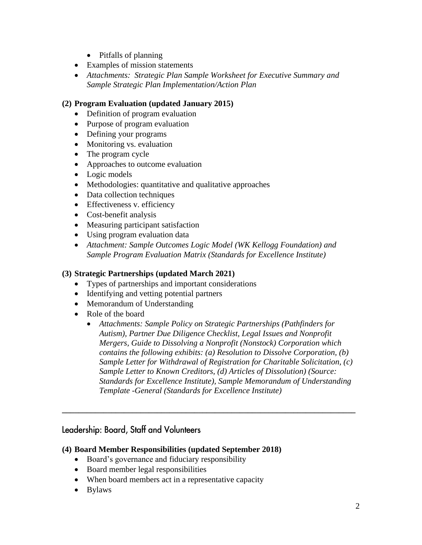- Pitfalls of planning
- Examples of mission statements
- *Attachments: Strategic Plan Sample Worksheet for Executive Summary and Sample Strategic Plan Implementation/Action Plan*

### **(2) Program Evaluation (updated January 2015)**

- Definition of program evaluation
- Purpose of program evaluation
- Defining your programs
- Monitoring vs. evaluation
- The program cycle
- Approaches to outcome evaluation
- Logic models
- Methodologies: quantitative and qualitative approaches
- Data collection techniques
- Effectiveness v. efficiency
- Cost-benefit analysis
- Measuring participant satisfaction
- Using program evaluation data
- *Attachment: Sample Outcomes Logic Model (WK Kellogg Foundation) and Sample Program Evaluation Matrix (Standards for Excellence Institute)*

### **(3) Strategic Partnerships (updated March 2021)**

- Types of partnerships and important considerations
- Identifying and vetting potential partners
- Memorandum of Understanding
- Role of the board
	- *Attachments: Sample Policy on Strategic Partnerships (Pathfinders for Autism), Partner Due Diligence Checklist, Legal Issues and Nonprofit Mergers, Guide to Dissolving a Nonprofit (Nonstock) Corporation which contains the following exhibits: (a) Resolution to Dissolve Corporation, (b) Sample Letter for Withdrawal of Registration for Charitable Solicitation, (c) Sample Letter to Known Creditors, (d) Articles of Dissolution) (Source: Standards for Excellence Institute), Sample Memorandum of Understanding Template -General (Standards for Excellence Institute)*

**\_\_\_\_\_\_\_\_\_\_\_\_\_\_\_\_\_\_\_\_\_\_\_\_\_\_\_\_\_\_\_\_\_\_\_\_\_\_\_\_\_\_\_\_\_\_\_\_\_\_\_\_\_\_\_\_\_\_\_\_\_\_\_\_\_\_\_\_\_\_\_**

# Leadership: Board, Staff and Volunteers

### **(4) Board Member Responsibilities (updated September 2018)**

- Board's governance and fiduciary responsibility
- Board member legal responsibilities
- When board members act in a representative capacity
- Bylaws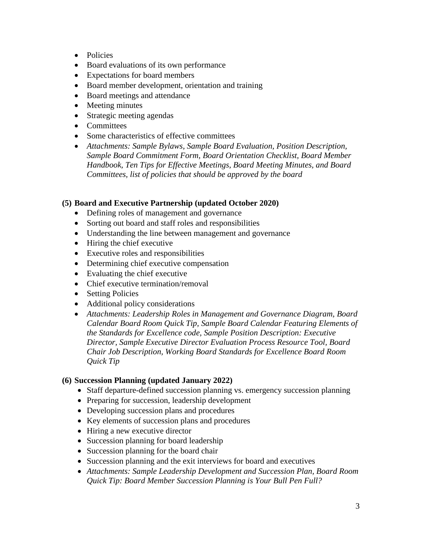- Policies
- Board evaluations of its own performance
- Expectations for board members
- Board member development, orientation and training
- Board meetings and attendance
- Meeting minutes
- Strategic meeting agendas
- Committees
- Some characteristics of effective committees
- *Attachments: Sample Bylaws, Sample Board Evaluation, Position Description, Sample Board Commitment Form, Board Orientation Checklist, Board Member Handbook, Ten Tips for Effective Meetings, Board Meeting Minutes, and Board Committees, list of policies that should be approved by the board*

### **(5) Board and Executive Partnership (updated October 2020)**

- Defining roles of management and governance
- Sorting out board and staff roles and responsibilities
- Understanding the line between management and governance
- Hiring the chief executive
- Executive roles and responsibilities
- Determining chief executive compensation
- Evaluating the chief executive
- Chief executive termination/removal
- Setting Policies
- Additional policy considerations
- *Attachments: Leadership Roles in Management and Governance Diagram, Board Calendar Board Room Quick Tip, Sample Board Calendar Featuring Elements of the Standards for Excellence code, Sample Position Description: Executive Director, Sample Executive Director Evaluation Process Resource Tool, Board Chair Job Description, Working Board Standards for Excellence Board Room Quick Tip*

### **(6) Succession Planning (updated January 2022)**

- Staff departure-defined succession planning vs. emergency succession planning
- Preparing for succession, leadership development
- Developing succession plans and procedures
- Key elements of succession plans and procedures
- Hiring a new executive director
- Succession planning for board leadership
- Succession planning for the board chair
- Succession planning and the exit interviews for board and executives
- *Attachments: Sample Leadership Development and Succession Plan, Board Room Quick Tip: Board Member Succession Planning is Your Bull Pen Full?*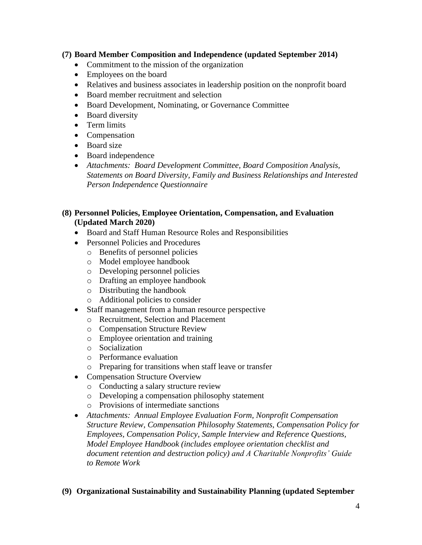#### **(7) Board Member Composition and Independence (updated September 2014)**

- Commitment to the mission of the organization
- Employees on the board
- Relatives and business associates in leadership position on the nonprofit board
- Board member recruitment and selection
- Board Development, Nominating, or Governance Committee
- Board diversity
- Term limits
- Compensation
- Board size
- Board independence
- *Attachments: Board Development Committee, Board Composition Analysis, Statements on Board Diversity, Family and Business Relationships and Interested Person Independence Questionnaire*

#### **(8) Personnel Policies, Employee Orientation, Compensation, and Evaluation (Updated March 2020)**

- Board and Staff Human Resource Roles and Responsibilities
- Personnel Policies and Procedures
	- o Benefits of personnel policies
	- o Model employee handbook
	- o Developing personnel policies
	- o Drafting an employee handbook
	- o Distributing the handbook
	- o Additional policies to consider
- Staff management from a human resource perspective
	- o Recruitment, Selection and Placement
	- o Compensation Structure Review
	- o Employee orientation and training
	- o Socialization
	- o Performance evaluation
	- o Preparing for transitions when staff leave or transfer
- Compensation Structure Overview
	- o Conducting a salary structure review
	- o Developing a compensation philosophy statement
	- o Provisions of intermediate sanctions
- *Attachments: Annual Employee Evaluation Form, Nonprofit Compensation Structure Review, Compensation Philosophy Statements, Compensation Policy for Employees, Compensation Policy, Sample Interview and Reference Questions, Model Employee Handbook (includes employee orientation checklist and document retention and destruction policy) and A Charitable Nonprofits' Guide to Remote Work*

### **(9) Organizational Sustainability and Sustainability Planning (updated September**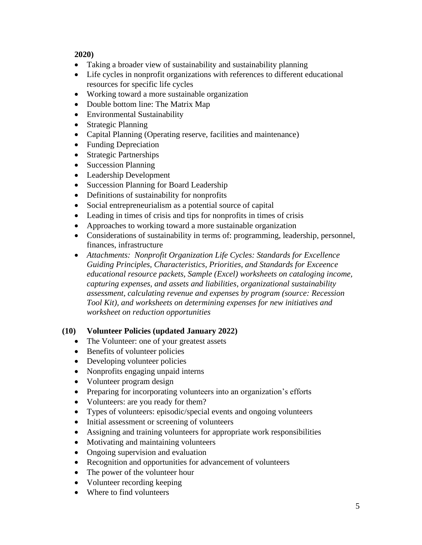**2020)**

- Taking a broader view of sustainability and sustainability planning
- Life cycles in nonprofit organizations with references to different educational resources for specific life cycles
- Working toward a more sustainable organization
- Double bottom line: The Matrix Map
- Environmental Sustainability
- Strategic Planning
- Capital Planning (Operating reserve, facilities and maintenance)
- Funding Depreciation
- Strategic Partnerships
- Succession Planning
- Leadership Development
- Succession Planning for Board Leadership
- Definitions of sustainability for nonprofits
- Social entrepreneurialism as a potential source of capital
- Leading in times of crisis and tips for nonprofits in times of crisis
- Approaches to working toward a more sustainable organization
- Considerations of sustainability in terms of: programming, leadership, personnel, finances, infrastructure
- *Attachments: Nonprofit Organization Life Cycles: Standards for Excellence Guiding Principles, Characteristics, Priorities, and Standards for Exceence educational resource packets, Sample (Excel) worksheets on cataloging income, capturing expenses, and assets and liabilities, organizational sustainability assessment, calculating revenue and expenses by program (source: Recession Tool Kit), and worksheets on determining expenses for new initiatives and worksheet on reduction opportunities*

### **(10) Volunteer Policies (updated January 2022)**

- The Volunteer: one of your greatest assets
- Benefits of volunteer policies
- Developing volunteer policies
- Nonprofits engaging unpaid interns
- Volunteer program design
- Preparing for incorporating volunteers into an organization's efforts
- Volunteers: are you ready for them?
- Types of volunteers: episodic/special events and ongoing volunteers
- Initial assessment or screening of volunteers
- Assigning and training volunteers for appropriate work responsibilities
- Motivating and maintaining volunteers
- Ongoing supervision and evaluation
- Recognition and opportunities for advancement of volunteers
- The power of the volunteer hour
- Volunteer recording keeping
- Where to find volunteers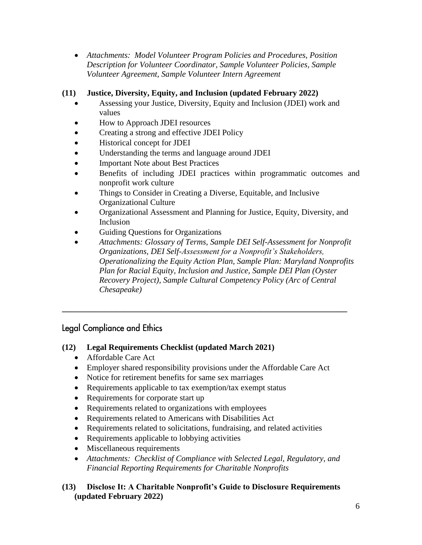• *Attachments: Model Volunteer Program Policies and Procedures, Position Description for Volunteer Coordinator, Sample Volunteer Policies, Sample Volunteer Agreement, Sample Volunteer Intern Agreement*

## **(11) Justice, Diversity, Equity, and Inclusion (updated February 2022)**

- Assessing your Justice, Diversity, Equity and Inclusion (JDEI) work and values
- How to Approach JDEI resources
- Creating a strong and effective JDEI Policy
- Historical concept for JDEI
- Understanding the terms and language around JDEI
- Important Note about Best Practices
- Benefits of including JDEI practices within programmatic outcomes and nonprofit work culture
- Things to Consider in Creating a Diverse, Equitable, and Inclusive Organizational Culture
- Organizational Assessment and Planning for Justice, Equity, Diversity, and Inclusion
- Guiding Questions for Organizations
- *Attachments: Glossary of Terms, Sample DEI Self-Assessment for Nonprofit Organizations, DEI Self-Assessment for a Nonprofit's Stakeholders, Operationalizing the Equity Action Plan, Sample Plan: Maryland Nonprofits Plan for Racial Equity, Inclusion and Justice, Sample DEI Plan (Oyster Recovery Project), Sample Cultural Competency Policy (Arc of Central Chesapeake)*

# **Legal Compliance and Ethics**

### **(12) Legal Requirements Checklist (updated March 2021)**

- Affordable Care Act
- Employer shared responsibility provisions under the Affordable Care Act

**\_\_\_\_\_\_\_\_\_\_\_\_\_\_\_\_\_\_\_\_\_\_\_\_\_\_\_\_\_\_\_\_\_\_\_\_\_\_\_\_\_\_\_\_\_\_\_\_\_\_\_\_\_\_\_\_\_\_\_\_\_\_\_\_\_\_\_\_\_**

- Notice for retirement benefits for same sex marriages
- Requirements applicable to tax exemption/tax exempt status
- Requirements for corporate start up
- Requirements related to organizations with employees
- Requirements related to Americans with Disabilities Act
- Requirements related to solicitations, fundraising, and related activities
- Requirements applicable to lobbying activities
- Miscellaneous requirements
- *Attachments: Checklist of Compliance with Selected Legal, Regulatory, and Financial Reporting Requirements for Charitable Nonprofits*

### **(13) Disclose It: A Charitable Nonprofit's Guide to Disclosure Requirements (updated February 2022)**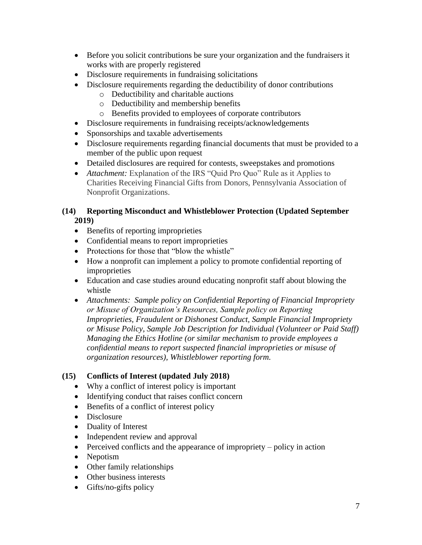- Before you solicit contributions be sure your organization and the fundraisers it works with are properly registered
- Disclosure requirements in fundraising solicitations
- Disclosure requirements regarding the deductibility of donor contributions
	- o Deductibility and charitable auctions
	- o Deductibility and membership benefits
	- o Benefits provided to employees of corporate contributors
- Disclosure requirements in fundraising receipts/acknowledgements
- Sponsorships and taxable advertisements
- Disclosure requirements regarding financial documents that must be provided to a member of the public upon request
- Detailed disclosures are required for contests, sweepstakes and promotions
- *Attachment:* Explanation of the IRS "Quid Pro Quo" Rule as it Applies to Charities Receiving Financial Gifts from Donors, Pennsylvania Association of Nonprofit Organizations.

### **(14) Reporting Misconduct and Whistleblower Protection (Updated September 2019)**

- Benefits of reporting improprieties
- Confidential means to report improprieties
- Protections for those that "blow the whistle"
- How a nonprofit can implement a policy to promote confidential reporting of improprieties
- Education and case studies around educating nonprofit staff about blowing the whistle
- *Attachments: Sample policy on Confidential Reporting of Financial Impropriety or Misuse of Organization's Resources, Sample policy on Reporting Improprieties, Fraudulent or Dishonest Conduct, Sample Financial Impropriety or Misuse Policy, Sample Job Description for Individual (Volunteer or Paid Staff) Managing the Ethics Hotline (or similar mechanism to provide employees a confidential means to report suspected financial improprieties or misuse of organization resources), Whistleblower reporting form.*

### **(15) Conflicts of Interest (updated July 2018)**

- Why a conflict of interest policy is important
- Identifying conduct that raises conflict concern
- Benefits of a conflict of interest policy
- Disclosure
- Duality of Interest
- Independent review and approval
- Perceived conflicts and the appearance of impropriety policy in action
- Nepotism
- Other family relationships
- Other business interests
- Gifts/no-gifts policy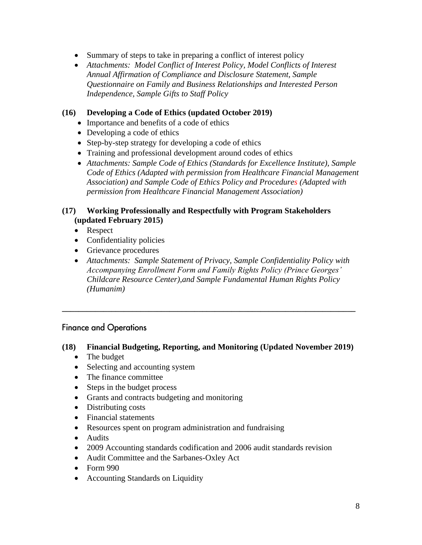- Summary of steps to take in preparing a conflict of interest policy
- *Attachments: Model Conflict of Interest Policy, Model Conflicts of Interest Annual Affirmation of Compliance and Disclosure Statement, Sample Questionnaire on Family and Business Relationships and Interested Person Independence, Sample Gifts to Staff Policy*

### **(16) Developing a Code of Ethics (updated October 2019)**

- Importance and benefits of a code of ethics
- Developing a code of ethics
- Step-by-step strategy for developing a code of ethics
- Training and professional development around codes of ethics
- *Attachments: Sample Code of Ethics (Standards for Excellence Institute), Sample Code of Ethics (Adapted with permission from Healthcare Financial Management Association) and Sample Code of Ethics Policy and Procedures (Adapted with permission from Healthcare Financial Management Association)*

### **(17) Working Professionally and Respectfully with Program Stakeholders (updated February 2015)**

- Respect
- Confidentiality policies
- Grievance procedures
- *Attachments: Sample Statement of Privacy, Sample Confidentiality Policy with Accompanying Enrollment Form and Family Rights Policy (Prince Georges' Childcare Resource Center),and Sample Fundamental Human Rights Policy (Humanim)*

# **Finance and Operations**

### **(18) Financial Budgeting, Reporting, and Monitoring (Updated November 2019)**

**\_\_\_\_\_\_\_\_\_\_\_\_\_\_\_\_\_\_\_\_\_\_\_\_\_\_\_\_\_\_\_\_\_\_\_\_\_\_\_\_\_\_\_\_\_\_\_\_\_\_\_\_\_\_\_\_\_\_\_\_\_\_\_\_\_\_\_\_\_\_\_**

- The budget
- Selecting and accounting system
- The finance committee
- Steps in the budget process
- Grants and contracts budgeting and monitoring
- Distributing costs
- Financial statements
- Resources spent on program administration and fundraising
- Audits
- 2009 Accounting standards codification and 2006 audit standards revision
- Audit Committee and the Sarbanes-Oxley Act
- Form 990
- Accounting Standards on Liquidity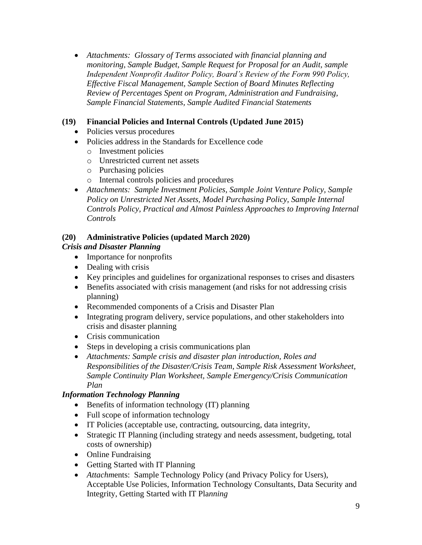• *Attachments: Glossary of Terms associated with financial planning and monitoring, Sample Budget, Sample Request for Proposal for an Audit, sample Independent Nonprofit Auditor Policy, Board's Review of the Form 990 Policy, Effective Fiscal Management, Sample Section of Board Minutes Reflecting Review of Percentages Spent on Program, Administration and Fundraising, Sample Financial Statements, Sample Audited Financial Statements*

### **(19) Financial Policies and Internal Controls (Updated June 2015)**

- Policies versus procedures
- Policies address in the Standards for Excellence code
	- o Investment policies
	- o Unrestricted current net assets
	- o Purchasing policies
	- o Internal controls policies and procedures
- *Attachments: Sample Investment Policies, Sample Joint Venture Policy, Sample Policy on Unrestricted Net Assets, Model Purchasing Policy, Sample Internal Controls Policy, Practical and Almost Painless Approaches to Improving Internal Controls*

### **(20) Administrative Policies (updated March 2020)**

### *Crisis and Disaster Planning*

- Importance for nonprofits
- Dealing with crisis
- Key principles and guidelines for organizational responses to crises and disasters
- Benefits associated with crisis management (and risks for not addressing crisis planning)
- Recommended components of a Crisis and Disaster Plan
- Integrating program delivery, service populations, and other stakeholders into crisis and disaster planning
- Crisis communication
- Steps in developing a crisis communications plan
- *Attachments: Sample crisis and disaster plan introduction, Roles and Responsibilities of the Disaster/Crisis Team, Sample Risk Assessment Worksheet, Sample Continuity Plan Worksheet, Sample Emergency/Crisis Communication Plan*

### *Information Technology Planning*

- Benefits of information technology (IT) planning
- Full scope of information technology
- IT Policies (acceptable use, contracting, outsourcing, data integrity,
- Strategic IT Planning (including strategy and needs assessment, budgeting, total costs of ownership)
- Online Fundraising
- Getting Started with IT Planning
- *Attachments:* Sample Technology Policy (and Privacy Policy for Users), Acceptable Use Policies, Information Technology Consultants, Data Security and Integrity, Getting Started with IT Pla*nning*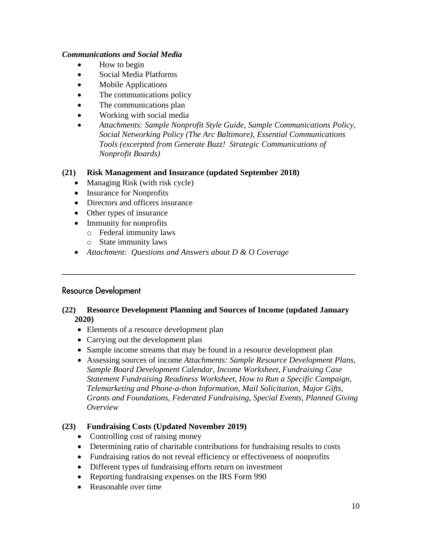### *Communications and Social Media*

- How to begin
- Social Media Platforms
- Mobile Applications
- The communications policy
- The communications plan
- Working with social media
- *Attachments: Sample Nonprofit Style Guide, Sample Communications Policy, Social Networking Policy (The Arc Baltimore), Essential Communications Tools (excerpted from Generate Buzz! Strategic Communications of Nonprofit Boards)*

### **(21) Risk Management and Insurance (updated September 2018)**

- Managing Risk (with risk cycle)
- Insurance for Nonprofits
- Directors and officers insurance
- Other types of insurance
- Immunity for nonprofits
	- o Federal immunity laws
	- o State immunity laws
- *Attachment: Questions and Answers about D & O Coverage*

### **Resource Development**

### **(22) Resource Development Planning and Sources of Income (updated January 2020)**

**\_\_\_\_\_\_\_\_\_\_\_\_\_\_\_\_\_\_\_\_\_\_\_\_\_\_\_\_\_\_\_\_\_\_\_\_\_\_\_\_\_\_\_\_\_\_\_\_\_\_\_\_\_\_\_\_\_\_\_\_\_\_\_\_\_\_\_\_\_\_\_**

- Elements of a resource development plan
- Carrying out the development plan
- Sample income streams that may be found in a resource development plan
- Assessing sources of income *Attachments: Sample Resource Development Plans, Sample Board Development Calendar, Income Worksheet, Fundraising Case Statement Fundraising Readiness Worksheet, How to Run a Specific Campaign, Telemarketing and Phone-a-thon Information, Mail Solicitation, Major Gifts, Grants and Foundations, Federated Fundraising, Special Events, Planned Giving Overview*

### **(23) Fundraising Costs (Updated November 2019)**

- Controlling cost of raising money
- Determining ratio of charitable contributions for fundraising results to costs
- Fundraising ratios do not reveal efficiency or effectiveness of nonprofits
- Different types of fundraising efforts return on investment
- Reporting fundraising expenses on the IRS Form 990
- Reasonable over time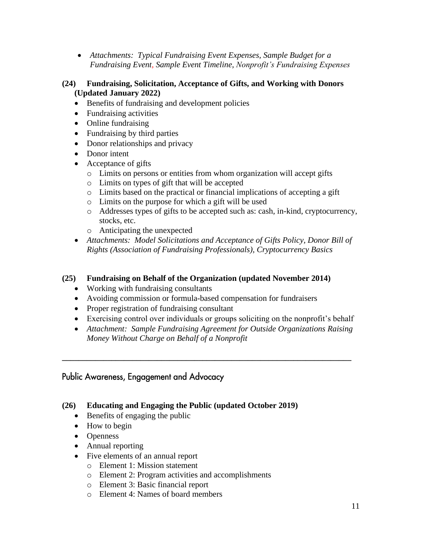- *Attachments: Typical Fundraising Event Expenses, Sample Budget for a Fundraising Event, Sample Event Timeline, Nonprofit's Fundraising Expenses*
- **(24) Fundraising, Solicitation, Acceptance of Gifts, and Working with Donors (Updated January 2022)**
	- Benefits of fundraising and development policies
	- Fundraising activities
	- Online fundraising
	- Fundraising by third parties
	- Donor relationships and privacy
	- Donor intent
	- Acceptance of gifts
		- o Limits on persons or entities from whom organization will accept gifts
		- o Limits on types of gift that will be accepted
		- o Limits based on the practical or financial implications of accepting a gift
		- o Limits on the purpose for which a gift will be used
		- o Addresses types of gifts to be accepted such as: cash, in-kind, cryptocurrency, stocks, etc.
		- o Anticipating the unexpected
	- *Attachments: Model Solicitations and Acceptance of Gifts Policy, Donor Bill of Rights (Association of Fundraising Professionals), Cryptocurrency Basics*

### **(25) Fundraising on Behalf of the Organization (updated November 2014)**

- Working with fundraising consultants
- Avoiding commission or formula-based compensation for fundraisers
- Proper registration of fundraising consultant
- Exercising control over individuals or groups soliciting on the nonprofit's behalf
- *Attachment: Sample Fundraising Agreement for Outside Organizations Raising Money Without Charge on Behalf of a Nonprofit*

**\_\_\_\_\_\_\_\_\_\_\_\_\_\_\_\_\_\_\_\_\_\_\_\_\_\_\_\_\_\_\_\_\_\_\_\_\_\_\_\_\_\_\_\_\_\_\_\_\_\_\_\_\_\_\_\_\_\_\_\_\_\_\_\_\_\_\_\_\_\_**

### Public Awareness, Engagement and Advocacy

### **(26) Educating and Engaging the Public (updated October 2019)**

- Benefits of engaging the public
- How to begin
- Openness
- Annual reporting
- Five elements of an annual report
	- o Element 1: Mission statement
	- o Element 2: Program activities and accomplishments
	- o Element 3: Basic financial report
	- o Element 4: Names of board members